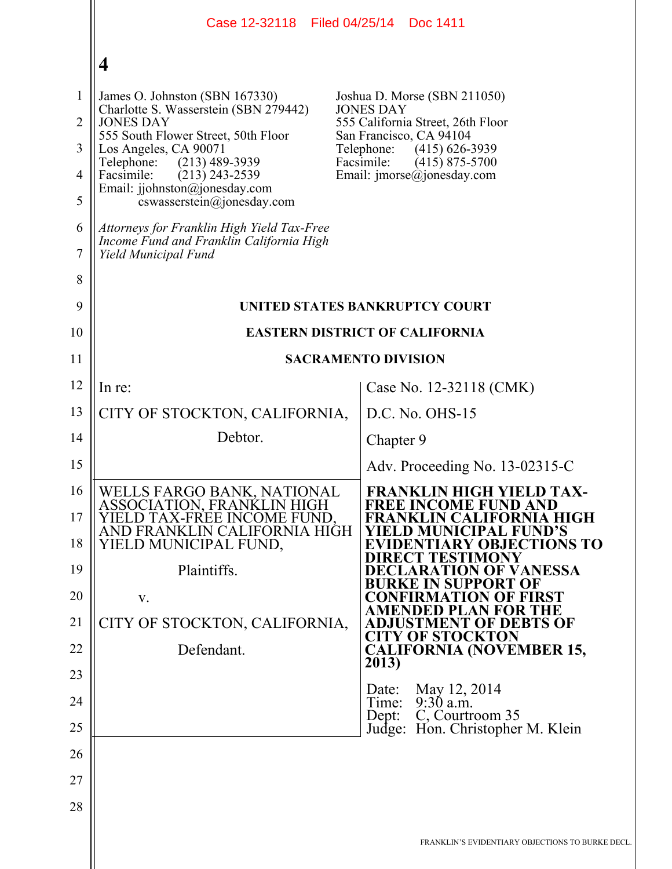|                | Case 12-32118 Filed 04/25/14 Doc 1411                                                                          |                                                                                |
|----------------|----------------------------------------------------------------------------------------------------------------|--------------------------------------------------------------------------------|
|                | $\overline{\mathbf{4}}$                                                                                        |                                                                                |
| $\mathbf{1}$   | James O. Johnston (SBN 167330)                                                                                 | Joshua D. Morse (SBN 211050)                                                   |
| $\overline{2}$ | Charlotte S. Wasserstein (SBN 279442)<br><b>JONES DAY</b>                                                      | <b>JONES DAY</b><br>555 California Street, 26th Floor                          |
| 3              | 555 South Flower Street, 50th Floor<br>Los Angeles, CA 90071                                                   | San Francisco, CA 94104<br>Telephone:<br>$(415) 626 - 3939$                    |
| $\overline{4}$ | $(213)$ 489-3939<br>Telephone:<br>Facsimile:<br>$(213)$ 243-2539                                               | Facsimile:<br>$(415)$ 875-5700<br>Email: $\text{imorse}(\hat{a})$ jonesday.com |
| 5              | Email: jjohnston@jonesday.com<br>cswasserstein@jonesday.com                                                    |                                                                                |
| 6<br>7         | Attorneys for Franklin High Yield Tax-Free<br>Income Fund and Franklin California High<br>Yield Municipal Fund |                                                                                |
| 8              |                                                                                                                |                                                                                |
| 9              | UNITED STATES BANKRUPTCY COURT                                                                                 |                                                                                |
| 10             | <b>EASTERN DISTRICT OF CALIFORNIA</b>                                                                          |                                                                                |
| 11             |                                                                                                                | <b>SACRAMENTO DIVISION</b>                                                     |
| 12             | In re:                                                                                                         | Case No. 12-32118 (CMK)                                                        |
| 13             | CITY OF STOCKTON, CALIFORNIA,                                                                                  | $D.C. No. OHS-15$                                                              |
| 14             | Debtor.                                                                                                        | Chapter 9                                                                      |
| 15             |                                                                                                                | Adv. Proceeding No. 13-02315-C                                                 |
| 16             | WELLS FARGO BANK, NATIONAL<br>ASSOCIATION, FRANKLIN HIGH                                                       | <b>FRANKLIN HIGH YIELD TAX-</b><br><b>FREE INCOME FUND AND</b>                 |
| 17             | YIELD TAX-FREE INCOME FUND,<br>AND FRANKLIN CALIFORNIA HIGH                                                    | FRANKLIN CALIFORNIA HIGH<br>YIELD MUNICIPAL FUND'S                             |
| 18             | YIELD MUNICIPAL FUND,                                                                                          | <b>EVIDENTIARY OBJECTIONS TO</b><br><b>DIRECT TESTIMONY</b>                    |
| 19             | Plaintiffs.                                                                                                    | <b>DECLARATION OF VANESSA</b><br>BURKE IN SUPPORT OF                           |
| 20             | V.                                                                                                             | <b>CONFIRMATION OF FIRST</b><br><b>AMENDED PLAN FOR THE</b>                    |
| 21             | CITY OF STOCKTON, CALIFORNIA,                                                                                  | <b>ADJUSTMENT OF DEBTS OF</b><br><b>CITY OF STOCKTON</b>                       |
| 22             | Defendant.                                                                                                     | <b>CALIFORNIA (NOVEMBER 15,</b><br>2013)                                       |
| 23             |                                                                                                                | May 12, 2014<br>Date:                                                          |
| 24             |                                                                                                                | Time: 9:30 a.m.<br>C, Courtroom 35<br>Dep:                                     |
| 25             |                                                                                                                | Judge: Hon. Christopher M. Klein                                               |
| 26             |                                                                                                                |                                                                                |
| 27             |                                                                                                                |                                                                                |
| 28             |                                                                                                                |                                                                                |
|                |                                                                                                                | FRANKLIN'S EVIDENTIARY OBJECTIONS TO BURKE DECL                                |
|                |                                                                                                                |                                                                                |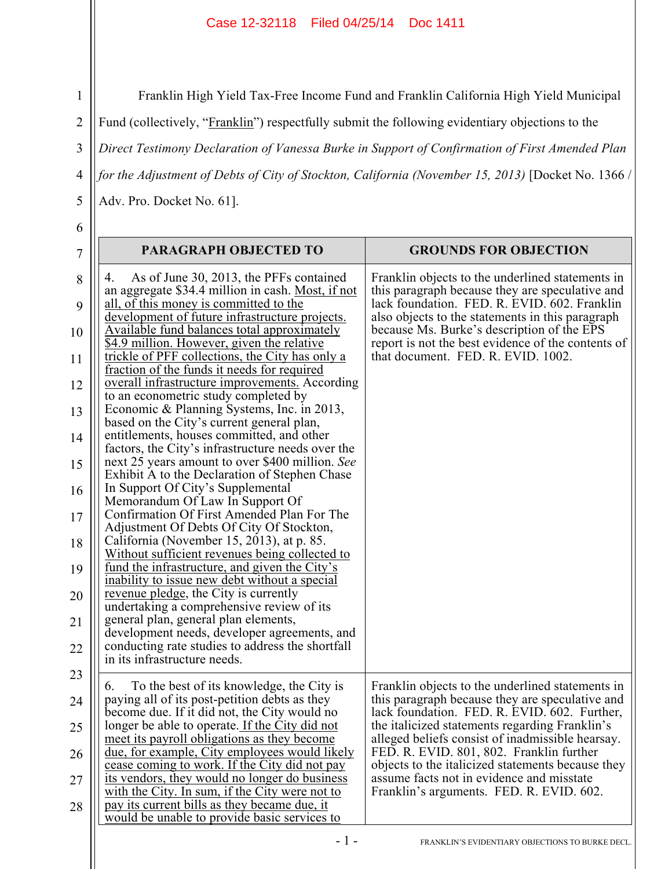## Case 12-32118 Filed 04/25/14 Doc 1411

Franklin High Yield Tax-Free Income Fund and Franklin California High Yield Municipal

Fund (collectively, "Franklin") respectfully submit the following evidentiary objections to the

3 *Direct Testimony Declaration of Vanessa Burke in Support of Confirmation of First Amended Plan* 

4 *for the Adjustment of Debts of City of Stockton, California (November 15, 2013)* [Docket No. 1366 /

Adv. Pro. Docket No. 61].

6

5

1

2

| $\overline{7}$ | PARAGRAPH OBJECTED TO                                                                              | <b>GROUNDS FOR OBJECTION</b>                                                                        |
|----------------|----------------------------------------------------------------------------------------------------|-----------------------------------------------------------------------------------------------------|
| 8              | As of June 30, 2013, the PFFs contained<br>4.<br>an aggregate \$34.4 million in cash. Most, if not | Franklin objects to the underlined statements in<br>this paragraph because they are speculative and |
| 9              | all, of this money is committed to the<br>development of future infrastructure projects.           | lack foundation. FED. R. EVID. 602. Franklin<br>also objects to the statements in this paragraph    |
| 10             | Available fund balances total approximately<br>\$4.9 million. However, given the relative          | because Ms. Burke's description of the EPS<br>report is not the best evidence of the contents of    |
| 11             | trickle of PFF collections, the City has only a<br>fraction of the funds it needs for required     | that document. FED. R. EVID. 1002.                                                                  |
| 12             | overall infrastructure improvements. According<br>to an econometric study completed by             |                                                                                                     |
| 13             | Economic & Planning Systems, Inc. in 2013,<br>based on the City's current general plan,            |                                                                                                     |
| 14             | entitlements, houses committed, and other<br>factors, the City's infrastructure needs over the     |                                                                                                     |
| 15             | next 25 years amount to over \$400 million. See<br>Exhibit A to the Declaration of Stephen Chase   |                                                                                                     |
| 16             | In Support Of City's Supplemental<br>Memorandum Of Law In Support Of                               |                                                                                                     |
| 17             | Confirmation Of First Amended Plan For The<br>Adjustment Of Debts Of City Of Stockton,             |                                                                                                     |
| 18             | California (November 15, 2013), at p. 85.<br>Without sufficient revenues being collected to        |                                                                                                     |
| 19             | fund the infrastructure, and given the City's<br>inability to issue new debt without a special     |                                                                                                     |
| 20             | revenue pledge, the City is currently<br>undertaking a comprehensive review of its                 |                                                                                                     |
| 21             | general plan, general plan elements,<br>development needs, developer agreements, and               |                                                                                                     |
| 22             | conducting rate studies to address the shortfall<br>in its infrastructure needs.                   |                                                                                                     |
| 23             | To the best of its knowledge, the City is<br>6.                                                    | Franklin objects to the underlined statements in                                                    |
| 24             | paying all of its post-petition debts as they<br>become due. If it did not, the City would no      | this paragraph because they are speculative and<br>lack foundation. FED. R. EVID. 602. Further,     |
| 25             | longer be able to operate. If the City did not<br>meet its payroll obligations as they become      | the italicized statements regarding Franklin's<br>alleged beliefs consist of inadmissible hearsay.  |
| 26             | due, for example, City employees would likely<br>cease coming to work. If the City did not pay     | FED. R. EVID. 801, 802. Franklin further<br>objects to the italicized statements because they       |
| 27             | its vendors, they would no longer do business<br>with the City. In sum, if the City were not to    | assume facts not in evidence and misstate<br>Franklin's arguments. FED. R. EVID. 602.               |
| 28             | pay its current bills as they became due, it<br>would be unable to provide basic services to       |                                                                                                     |
|                |                                                                                                    |                                                                                                     |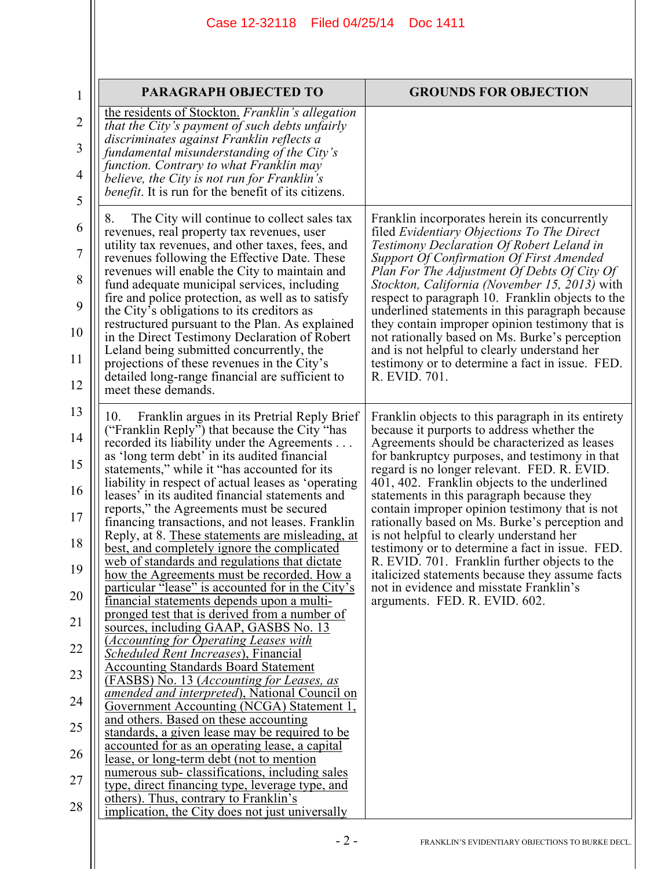## Case 12-32118 Filed 04/25/14 Doc 1411

| $\mathbf{1}$   |  |
|----------------|--|
| $\overline{2}$ |  |
| 3              |  |
| $\overline{4}$ |  |
| 5              |  |
| 6              |  |
| $\overline{7}$ |  |
| 8              |  |
| 9              |  |
| 10             |  |
| 11             |  |
| 12             |  |
| 13             |  |
| $1\Lambda$     |  |

| 6              |
|----------------|
| $\overline{7}$ |
| 8              |
| 9              |
| 10             |
| 11             |
| 12             |
| 13             |
| 14             |
| 15             |
| 16             |
| 17             |
| 18             |
| 19             |
|                |

| 1              | PARAGRAPH OBJECTED TO                                                                                                                             | <b>GROUNDS FOR OBJECTION</b>                                                                                                                         |
|----------------|---------------------------------------------------------------------------------------------------------------------------------------------------|------------------------------------------------------------------------------------------------------------------------------------------------------|
| $\overline{2}$ | the residents of Stockton. Franklin's allegation<br>that the City's payment of such debts unfairly<br>discriminates against Franklin reflects a   |                                                                                                                                                      |
| 3<br>4         | fundamental misunderstanding of the City's<br>function. Contrary to what Franklin may<br>believe, the City is not run for Franklin's              |                                                                                                                                                      |
| 5              | <i>benefit</i> . It is run for the benefit of its citizens.                                                                                       |                                                                                                                                                      |
| 6              | 8.<br>The City will continue to collect sales tax<br>revenues, real property tax revenues, user                                                   | Franklin incorporates herein its concurrently<br>filed Evidentiary Objections To The Direct                                                          |
| $\tau$         | utility tax revenues, and other taxes, fees, and<br>revenues following the Effective Date. These<br>revenues will enable the City to maintain and | <b>Testimony Declaration Of Robert Leland in</b><br><b>Support Of Confirmation Of First Amended</b><br>Plan For The Adjustment Of Debts Of City Of   |
| 8<br>9         | fund adequate municipal services, including<br>fire and police protection, as well as to satisfy                                                  | <i>Stockton, California (November 15, 2013)</i> with<br>respect to paragraph 10. Franklin objects to the                                             |
| 10             | the City's obligations to its creditors as<br>restructured pursuant to the Plan. As explained<br>in the Direct Testimony Declaration of Robert    | underlined statements in this paragraph because<br>they contain improper opinion testimony that is<br>not rationally based on Ms. Burke's perception |
| 11             | Leland being submitted concurrently, the<br>projections of these revenues in the City's                                                           | and is not helpful to clearly understand her<br>testimony or to determine a fact in issue. FED.                                                      |
| 12             | detailed long-range financial are sufficient to<br>meet these demands.                                                                            | R. EVID. 701.                                                                                                                                        |
| 13             | 10.<br>Franklin argues in its Pretrial Reply Brief                                                                                                | Franklin objects to this paragraph in its entirety                                                                                                   |
| 14             | ("Franklin Reply") that because the City "has<br>recorded its liability under the Agreements<br>as 'long term debt' in its audited financial      | because it purports to address whether the<br>Agreements should be characterized as leases<br>for bankruptcy purposes, and testimony in that         |
| 15<br>16       | statements," while it "has accounted for its<br>liability in respect of actual leases as 'operating                                               | regard is no longer relevant. FED. R. EVID.<br>401, 402. Franklin objects to the underlined                                                          |
| 17             | leases' in its audited financial statements and<br>reports," the Agreements must be secured<br>financing transactions, and not leases. Franklin   | statements in this paragraph because they<br>contain improper opinion testimony that is not<br>rationally based on Ms. Burke's perception and        |
| 18             | Reply, at 8. These statements are misleading, at<br>best, and completely ignore the complicated                                                   | is not helpful to clearly understand her<br>testimony or to determine a fact in issue. FED.                                                          |
| 19             | web of standards and regulations that dictate<br>how the Agreements must be recorded. How a                                                       | R. EVID. 701. Franklin further objects to the<br>italicized statements because they assume facts                                                     |
| 20             | particular "lease" is accounted for in the City's<br>financial statements depends upon a multi-                                                   | not in evidence and misstate Franklin's<br>arguments. FED. R. EVID. 602.                                                                             |
| 21             | pronged test that is derived from a number of<br>sources, including GAAP, GASBS No. 13                                                            |                                                                                                                                                      |
| 22             | <b><i><u>Accounting for Operating Leases with</u></i></b><br>Scheduled Rent Increases), Financial                                                 |                                                                                                                                                      |
| 23             | <b>Accounting Standards Board Statement</b><br>(FASBS) No. 13 ( <i>Accounting for Leases, as</i>                                                  |                                                                                                                                                      |
| 24             | <i>amended and interpreted</i> ), National Council on<br>Government Accounting (NCGA) Statement 1,<br>and others. Based on these accounting       |                                                                                                                                                      |
| 25             | standards, a given lease may be required to be<br>accounted for as an operating lease, a capital                                                  |                                                                                                                                                      |
| 26             | lease, or long-term debt (not to mention<br>numerous sub-classifications, including sales                                                         |                                                                                                                                                      |
| 27             | type, direct financing type, leverage type, and<br>others). Thus, contrary to Franklin's                                                          |                                                                                                                                                      |
| 28             | implication, the City does not just universally                                                                                                   |                                                                                                                                                      |
|                |                                                                                                                                                   |                                                                                                                                                      |